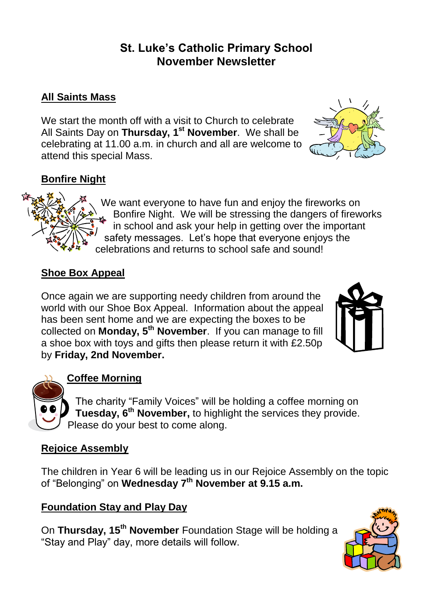# **St. Luke's Catholic Primary School November Newsletter**

## **All Saints Mass**

We start the month off with a visit to Church to celebrate All Saints Day on **Thursday, 1st November**. We shall be celebrating at 11.00 a.m. in church and all are welcome to attend this special Mass.



## **Bonfire Night**



We want everyone to have fun and enjoy the fireworks on Bonfire Night. We will be stressing the dangers of fireworks in school and ask your help in getting over the important safety messages. Let's hope that everyone enjoys the celebrations and returns to school safe and sound!

## **Shoe Box Appeal**

Once again we are supporting needy children from around the world with our Shoe Box Appeal. Information about the appeal has been sent home and we are expecting the boxes to be collected on **Monday, 5th November**. If you can manage to fill a shoe box with toys and gifts then please return it with £2.50p by **Friday, 2nd November.**





## **Coffee Morning**

The charity "Family Voices" will be holding a coffee morning on **Tuesday, 6th November,** to highlight the services they provide. Please do your best to come along.

# **Rejoice Assembly**

The children in Year 6 will be leading us in our Rejoice Assembly on the topic of "Belonging" on **Wednesday 7th November at 9.15 a.m.**

# **Foundation Stay and Play Day**

On **Thursday, 15th November** Foundation Stage will be holding a "Stay and Play" day, more details will follow.

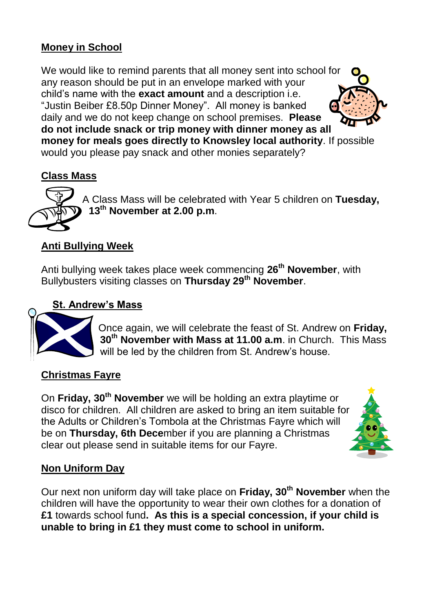#### **Money in School**

We would like to remind parents that all money sent into school for any reason should be put in an envelope marked with your child's name with the **exact amount** and a description i.e. "Justin Beiber £8.50p Dinner Money". All money is banked daily and we do not keep change on school premises. **Please do not include snack or trip money with dinner money as all money for meals goes directly to Knowsley local authority**. If possible would you please pay snack and other monies separately?

#### **Class Mass**



A Class Mass will be celebrated with Year 5 children on **Tuesday, 13th November at 2.00 p.m**.

#### **Anti Bullying Week**

Anti bullying week takes place week commencing **26th November**, with Bullybusters visiting classes on **Thursday 29th November**.

#### **St. Andrew's Mass**



Once again, we will celebrate the feast of St. Andrew on **Friday, 30th November with Mass at 11.00 a.m**. in Church. This Mass will be led by the children from St. Andrew's house.

#### **Christmas Fayre**

On **Friday, 30th November** we will be holding an extra playtime or disco for children. All children are asked to bring an item suitable for the Adults or Children's Tombola at the Christmas Fayre which will be on **Thursday, 6th Dece**mber if you are planning a Christmas clear out please send in suitable items for our Fayre.



#### **Non Uniform Day**

Our next non uniform day will take place on **Friday, 30th November** when the children will have the opportunity to wear their own clothes for a donation of **£1** towards school fund**. As this is a special concession, if your child is unable to bring in £1 they must come to school in uniform.**